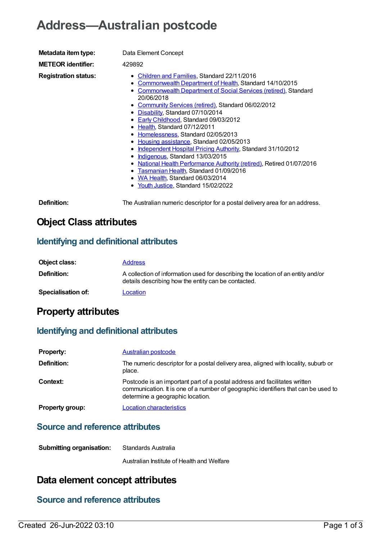# **Address—Australian postcode**

| Metadata item type:         | Data Element Concept                                                                                                                                                                                                                                                                                                                                                                                                                                                                                                                                                                                                                                                                                                                                                                             |
|-----------------------------|--------------------------------------------------------------------------------------------------------------------------------------------------------------------------------------------------------------------------------------------------------------------------------------------------------------------------------------------------------------------------------------------------------------------------------------------------------------------------------------------------------------------------------------------------------------------------------------------------------------------------------------------------------------------------------------------------------------------------------------------------------------------------------------------------|
| <b>METEOR</b> identifier:   | 429892                                                                                                                                                                                                                                                                                                                                                                                                                                                                                                                                                                                                                                                                                                                                                                                           |
| <b>Registration status:</b> | • Children and Families, Standard 22/11/2016<br><b>Commonwealth Department of Health, Standard 14/10/2015</b><br>٠<br><b>Commonwealth Department of Social Services (retired), Standard</b><br>20/06/2018<br>• Community Services (retired), Standard 06/02/2012<br>• Disability, Standard 07/10/2014<br>Early Childhood, Standard 09/03/2012<br>Health, Standard 07/12/2011<br>٠<br>Homelessness, Standard 02/05/2013<br>٠<br>Housing assistance, Standard 02/05/2013<br>٠<br>Independent Hospital Pricing Authority, Standard 31/10/2012<br>٠<br>Indigenous, Standard 13/03/2015<br>٠<br>National Health Performance Authority (retired), Retired 01/07/2016<br>٠<br>Tasmanian Health, Standard 01/09/2016<br>٠<br>WA Health, Standard 06/03/2014<br>٠<br>• Youth Justice, Standard 15/02/2022 |
| Definition:                 | The Australian numeric descriptor for a postal delivery area for an address.                                                                                                                                                                                                                                                                                                                                                                                                                                                                                                                                                                                                                                                                                                                     |

# **Object Class attributes**

#### **Identifying and definitional attributes**

| Object class:             | <b>Address</b>                                                                                                                          |
|---------------------------|-----------------------------------------------------------------------------------------------------------------------------------------|
| <b>Definition:</b>        | A collection of information used for describing the location of an entity and/or<br>details describing how the entity can be contacted. |
| <b>Specialisation of:</b> | Location                                                                                                                                |

## **Property attributes**

#### **Identifying and definitional attributes**

| <b>Property:</b>       | <b>Australian postcode</b>                                                                                                                                                                          |
|------------------------|-----------------------------------------------------------------------------------------------------------------------------------------------------------------------------------------------------|
| Definition:            | The numeric descriptor for a postal delivery area, aligned with locality, suburb or<br>place.                                                                                                       |
| Context:               | Postcode is an important part of a postal address and facilitates written<br>communication. It is one of a number of geographic identifiers that can be used to<br>determine a geographic location. |
| <b>Property group:</b> | <b>Location characteristics</b>                                                                                                                                                                     |

#### **Source and reference attributes**

| Standards Australia |
|---------------------|
|                     |

Australian Institute of Health and Welfare

# **Data element concept attributes**

## **Source and reference attributes**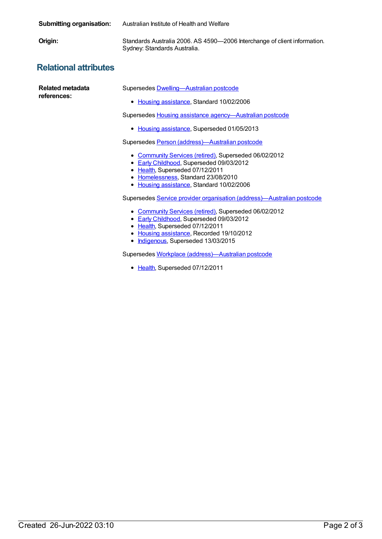| <b>Submitting organisation:</b> | Australian Institute of Health and Welfare                                                                                                                                                                                                                                                                                                                                                                                                                                                                                                                                                                                                                                                                                                                                        |
|---------------------------------|-----------------------------------------------------------------------------------------------------------------------------------------------------------------------------------------------------------------------------------------------------------------------------------------------------------------------------------------------------------------------------------------------------------------------------------------------------------------------------------------------------------------------------------------------------------------------------------------------------------------------------------------------------------------------------------------------------------------------------------------------------------------------------------|
| Origin:                         | Standards Australia 2006. AS 4590-2006 Interchange of client information.<br>Sydney: Standards Australia.                                                                                                                                                                                                                                                                                                                                                                                                                                                                                                                                                                                                                                                                         |
| <b>Relational attributes</b>    |                                                                                                                                                                                                                                                                                                                                                                                                                                                                                                                                                                                                                                                                                                                                                                                   |
| Related metadata<br>references: | Supersedes <b>Dwelling-Australian postcode</b><br>• Housing assistance, Standard 10/02/2006<br>Supersedes Housing assistance agency-Australian postcode<br>Housing assistance, Superseded 01/05/2013<br>$\bullet$<br>Supersedes Person (address)-Australian postcode<br>• Community Services (retired), Superseded 06/02/2012<br>• Early Childhood, Superseded 09/03/2012<br>Health, Superseded 07/12/2011<br>٠<br>Homelessness, Standard 23/08/2010<br>٠<br>Housing assistance, Standard 10/02/2006<br>٠<br>Supersedes Service provider organisation (address)—Australian postcode<br>Community Services (retired), Superseded 06/02/2012<br><b>Early Childhood, Superseded 09/03/2012</b><br>٠<br>Health, Superseded 07/12/2011<br>Housing assistance, Recorded 19/10/2012<br>٠ |

[Indigenous](https://meteor.aihw.gov.au/RegistrationAuthority/6), Superseded 13/03/2015

Supersedes Workplace [\(address\)—Australian](https://meteor.aihw.gov.au/content/386197) postcode

• [Health](https://meteor.aihw.gov.au/RegistrationAuthority/12), Superseded 07/12/2011